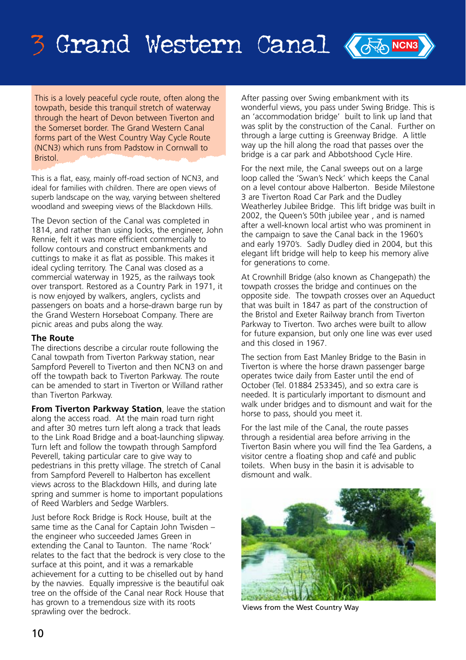# 3 Grand Western Canal <mark>(Fig. News</mark>

This is a lovely peaceful cycle route, often along the townath, beside this tranquil stretch of waterway through the heart of Devon between Tiverton and the Somerset border. The Grand Western Canal forms part of the West Country Way Cycle Route (NCN3) which runs from Padstow in Cornwall to Bristol.

This is a flat, easy, mainly off-road section of NCN3, and ideal for families with children. There are open views of superb landscape on the way, varying between sheltered woodland and sweeping views of the Blackdown Hills.

The Devon section of the Canal was completed in 1814, and rather than using locks, the engineer, John Rennie, felt it was more efficient commercially to follow contours and construct embankments and cuttings to make it as flat as possible. This makes it ideal cycling territory. The Canal was closed as a commercial waterway in 1925, as the railways took over transport. Restored as a Country Park in 1971, it is now enjoyed by walkers, anglers, cyclists and passengers on boats and a horse-drawn barge run by the Grand Western Horseboat Company. There are picnic areas and pubs along the way.

#### **The Route**

The directions describe a circular route following the Canal towpath from Tiverton Parkway station, near Sampford Peverell to Tiverton and then NCN3 on and off the towpath back to Tiverton Parkway. The route can be amended to start in Tiverton or Willand rather than Tiverton Parkway.

**From Tiverton Parkway Station**, leave the station along the access road. At the main road turn right and after 30 metres turn left along a track that leads to the Link Road Bridge and a boat-launching slipway. Turn left and follow the towpath through Sampford Peverell, taking particular care to give way to pedestrians in this pretty village. The stretch of Canal from Sampford Peverell to Halberton has excellent views across to the Blackdown Hills, and during late spring and summer is home to important populations of Reed Warblers and Sedge Warblers.

Just before Rock Bridge is Rock House, built at the same time as the Canal for Captain John Twisden – the engineer who succeeded James Green in extending the Canal to Taunton. The name 'Rock' relates to the fact that the bedrock is very close to the surface at this point, and it was a remarkable achievement for a cutting to be chiselled out by hand by the navvies. Equally impressive is the beautiful oak tree on the offside of the Canal near Rock House that has grown to a tremendous size with its roots sprawling over the bedrock.

After passing over Swing embankment with its wonderful views, you pass under Swing Bridge. This is an 'accommodation bridge' built to link up land that was split by the construction of the Canal. Further on through a large cutting is Greenway Bridge. A little way up the hill along the road that passes over the bridge is a car park and Abbotshood Cycle Hire.

For the next mile, the Canal sweeps out on a large loop called the 'Swan's Neck' which keeps the Canal on a level contour above Halberton. Beside Milestone 3 are Tiverton Road Car Park and the Dudley Weatherley Jubilee Bridge. This lift bridge was built in 2002, the Queen's 50th jubilee year , and is named after a well-known local artist who was prominent in the campaign to save the Canal back in the 1960's and early 1970's. Sadly Dudley died in 2004, but this elegant lift bridge will help to keep his memory alive for generations to come.

At Crownhill Bridge (also known as Changepath) the towpath crosses the bridge and continues on the opposite side. The towpath crosses over an Aqueduct that was built in 1847 as part of the construction of the Bristol and Exeter Railway branch from Tiverton Parkway to Tiverton. Two arches were built to allow for future expansion, but only one line was ever used and this closed in 1967.

The section from East Manley Bridge to the Basin in Tiverton is where the horse drawn passenger barge operates twice daily from Easter until the end of October (Tel. 01884 253345), and so extra care is needed. It is particularly important to dismount and walk under bridges and to dismount and wait for the horse to pass, should you meet it.

For the last mile of the Canal, the route passes through a residential area before arriving in the Tiverton Basin where you will find the Tea Gardens, a visitor centre a floating shop and café and public toilets. When busy in the basin it is advisable to dismount and walk.



Views from the West Country Way